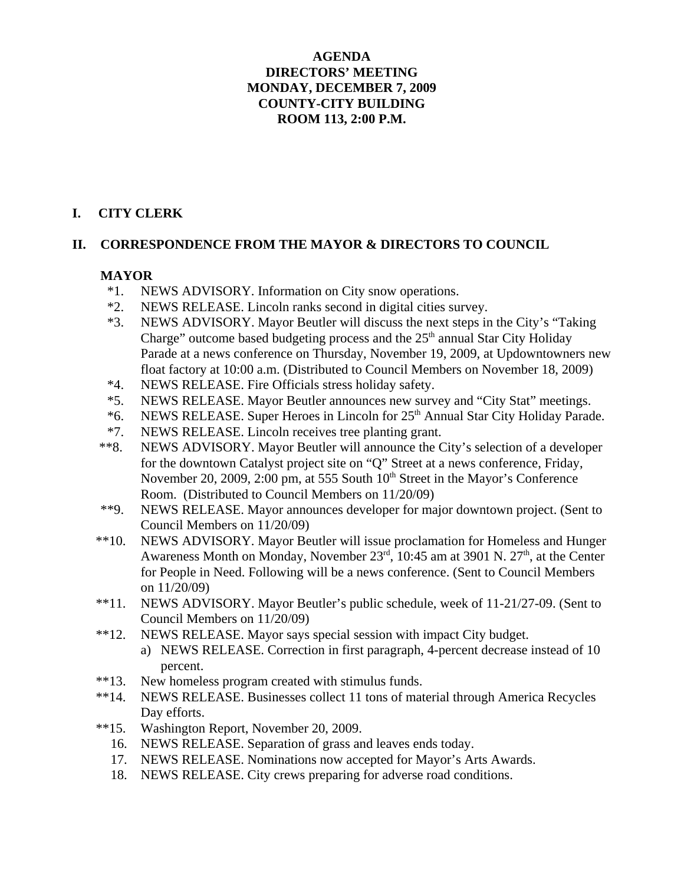# **AGENDA DIRECTORS' MEETING MONDAY, DECEMBER 7, 2009 COUNTY-CITY BUILDING ROOM 113, 2:00 P.M.**

# **I. CITY CLERK**

## **II. CORRESPONDENCE FROM THE MAYOR & DIRECTORS TO COUNCIL**

# **MAYOR**

- \*1. NEWS ADVISORY. Information on City snow operations.
- \*2. NEWS RELEASE. Lincoln ranks second in digital cities survey.
- \*3. NEWS ADVISORY. Mayor Beutler will discuss the next steps in the City's "Taking Charge" outcome based budgeting process and the  $25<sup>th</sup>$  annual Star City Holiday Parade at a news conference on Thursday, November 19, 2009, at Updowntowners new float factory at 10:00 a.m. (Distributed to Council Members on November 18, 2009)
- \*4. NEWS RELEASE. Fire Officials stress holiday safety.
- \*5. NEWS RELEASE. Mayor Beutler announces new survey and "City Stat" meetings.
- \*6. NEWS RELEASE. Super Heroes in Lincoln for 25th Annual Star City Holiday Parade.
- \*7. NEWS RELEASE. Lincoln receives tree planting grant.
- \*\*8. NEWS ADVISORY. Mayor Beutler will announce the City's selection of a developer for the downtown Catalyst project site on "Q" Street at a news conference, Friday, November 20, 2009, 2:00 pm, at 555 South 10<sup>th</sup> Street in the Mayor's Conference Room. (Distributed to Council Members on 11/20/09)
- \*\*9. NEWS RELEASE. Mayor announces developer for major downtown project. (Sent to Council Members on 11/20/09)
- \*\*10. NEWS ADVISORY. Mayor Beutler will issue proclamation for Homeless and Hunger Awareness Month on Monday, November  $23<sup>rd</sup>$ , 10:45 am at 3901 N.  $27<sup>th</sup>$ , at the Center for People in Need. Following will be a news conference. (Sent to Council Members on 11/20/09)
- \*\*11. NEWS ADVISORY. Mayor Beutler's public schedule, week of 11-21/27-09. (Sent to Council Members on 11/20/09)
- \*\*12. NEWS RELEASE. Mayor says special session with impact City budget.
	- a) NEWS RELEASE. Correction in first paragraph, 4-percent decrease instead of 10 percent.
- \*\*13. New homeless program created with stimulus funds.
- \*\*14. NEWS RELEASE. Businesses collect 11 tons of material through America Recycles Day efforts.
- \*\*15. Washington Report, November 20, 2009.
	- 16. NEWS RELEASE. Separation of grass and leaves ends today.
	- 17. NEWS RELEASE. Nominations now accepted for Mayor's Arts Awards.
	- 18. NEWS RELEASE. City crews preparing for adverse road conditions.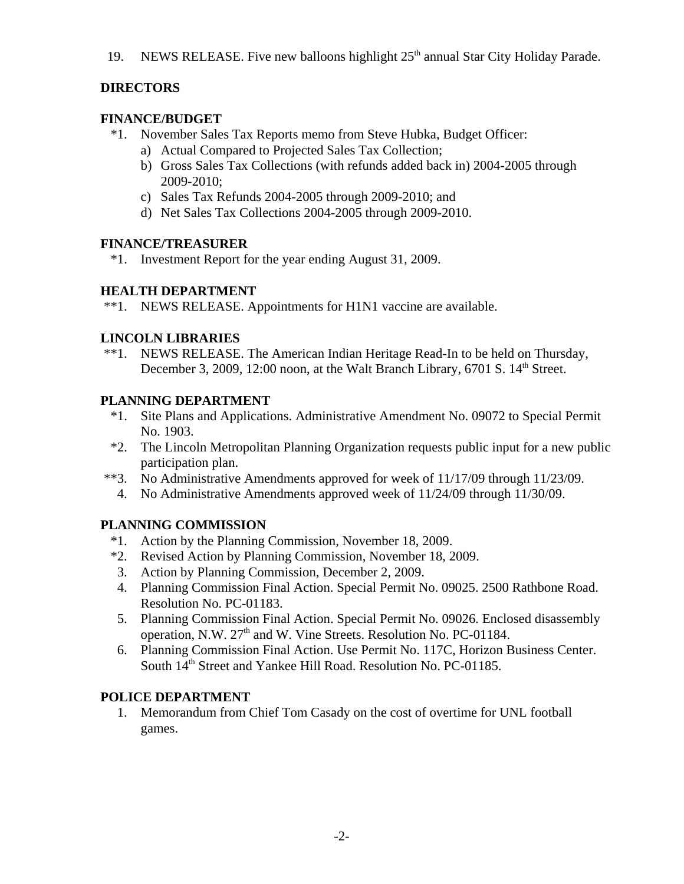19. NEWS RELEASE. Five new balloons highlight  $25<sup>th</sup>$  annual Star City Holiday Parade.

# **DIRECTORS**

# **FINANCE/BUDGET**

- \*1. November Sales Tax Reports memo from Steve Hubka, Budget Officer:
	- a) Actual Compared to Projected Sales Tax Collection;
	- b) Gross Sales Tax Collections (with refunds added back in) 2004-2005 through 2009-2010;
	- c) Sales Tax Refunds 2004-2005 through 2009-2010; and
	- d) Net Sales Tax Collections 2004-2005 through 2009-2010.

## **FINANCE/TREASURER**

\*1. Investment Report for the year ending August 31, 2009.

# **HEALTH DEPARTMENT**

\*\*1. NEWS RELEASE. Appointments for H1N1 vaccine are available.

# **LINCOLN LIBRARIES**

 \*\*1. NEWS RELEASE. The American Indian Heritage Read-In to be held on Thursday, December 3, 2009, 12:00 noon, at the Walt Branch Library, 6701 S. 14<sup>th</sup> Street.

# **PLANNING DEPARTMENT**

- \*1. Site Plans and Applications. Administrative Amendment No. 09072 to Special Permit No. 1903.
- \*2. The Lincoln Metropolitan Planning Organization requests public input for a new public participation plan.
- \*\*3. No Administrative Amendments approved for week of 11/17/09 through 11/23/09.
	- 4. No Administrative Amendments approved week of 11/24/09 through 11/30/09.

# **PLANNING COMMISSION**

- \*1. Action by the Planning Commission, November 18, 2009.
- \*2. Revised Action by Planning Commission, November 18, 2009.
- 3. Action by Planning Commission, December 2, 2009.
- 4. Planning Commission Final Action. Special Permit No. 09025. 2500 Rathbone Road. Resolution No. PC-01183.
- 5. Planning Commission Final Action. Special Permit No. 09026. Enclosed disassembly operation, N.W. 27<sup>th</sup> and W. Vine Streets. Resolution No. PC-01184.
- 6. Planning Commission Final Action. Use Permit No. 117C, Horizon Business Center. South  $14<sup>th</sup>$  Street and Yankee Hill Road. Resolution No. PC-01185.

# **POLICE DEPARTMENT**

 1. Memorandum from Chief Tom Casady on the cost of overtime for UNL football games.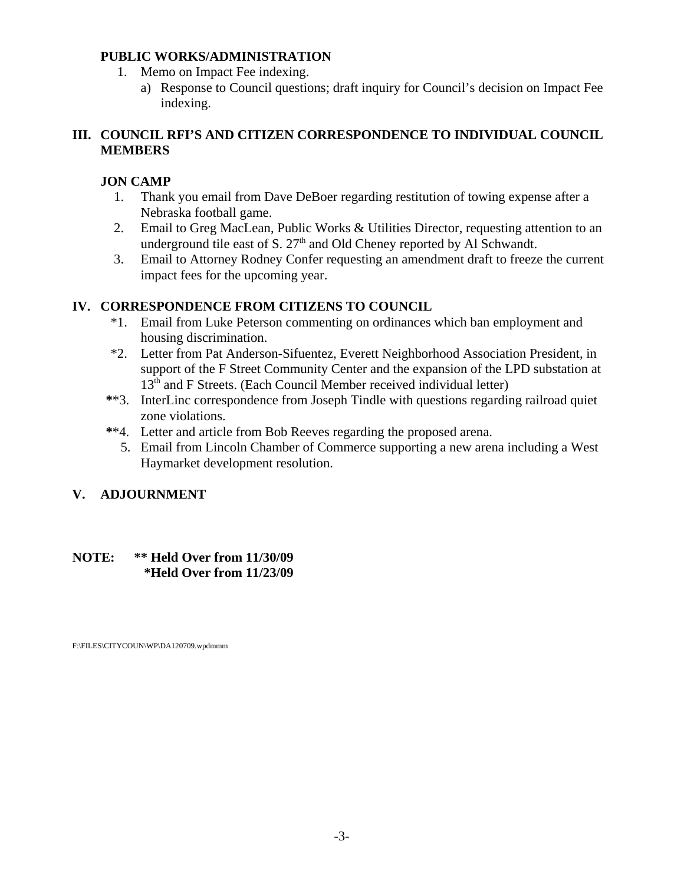## **PUBLIC WORKS/ADMINISTRATION**

- 1. Memo on Impact Fee indexing.
	- a) Response to Council questions; draft inquiry for Council's decision on Impact Fee indexing.

# **III. COUNCIL RFI'S AND CITIZEN CORRESPONDENCE TO INDIVIDUAL COUNCIL MEMBERS**

# **JON CAMP**

- 1. Thank you email from Dave DeBoer regarding restitution of towing expense after a Nebraska football game.
- 2. Email to Greg MacLean, Public Works & Utilities Director, requesting attention to an underground tile east of S.  $27<sup>th</sup>$  and Old Cheney reported by Al Schwandt.
- 3. Email to Attorney Rodney Confer requesting an amendment draft to freeze the current impact fees for the upcoming year.

# **IV. CORRESPONDENCE FROM CITIZENS TO COUNCIL**

- \*1. Email from Luke Peterson commenting on ordinances which ban employment and housing discrimination.
- \*2. Letter from Pat Anderson-Sifuentez, Everett Neighborhood Association President, in support of the F Street Community Center and the expansion of the LPD substation at 13<sup>th</sup> and F Streets. (Each Council Member received individual letter)
- **\***\*3. InterLinc correspondence from Joseph Tindle with questions regarding railroad quiet zone violations.
- **\***\*4. Letter and article from Bob Reeves regarding the proposed arena.
	- 5. Email from Lincoln Chamber of Commerce supporting a new arena including a West Haymarket development resolution.

# **V. ADJOURNMENT**

# **NOTE: \*\* Held Over from 11/30/09 \*Held Over from 11/23/09**

F:\FILES\CITYCOUN\WP\DA120709.wpdmmm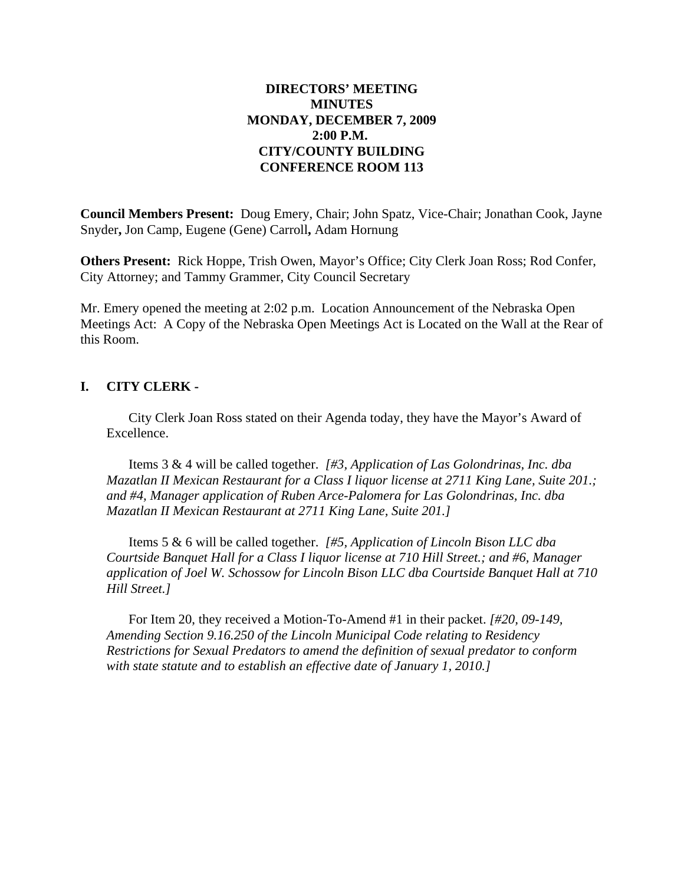## **DIRECTORS' MEETING MINUTES MONDAY, DECEMBER 7, 2009 2:00 P.M. CITY/COUNTY BUILDING CONFERENCE ROOM 113**

**Council Members Present:** Doug Emery, Chair; John Spatz, Vice-Chair; Jonathan Cook, Jayne Snyder**,** Jon Camp, Eugene (Gene) Carroll**,** Adam Hornung

**Others Present:** Rick Hoppe, Trish Owen, Mayor's Office; City Clerk Joan Ross; Rod Confer, City Attorney; and Tammy Grammer, City Council Secretary

Mr. Emery opened the meeting at 2:02 p.m. Location Announcement of the Nebraska Open Meetings Act: A Copy of the Nebraska Open Meetings Act is Located on the Wall at the Rear of this Room.

## **I. CITY CLERK -**

City Clerk Joan Ross stated on their Agenda today, they have the Mayor's Award of Excellence.

Items 3 & 4 will be called together. *[#3, Application of Las Golondrinas, Inc. dba Mazatlan II Mexican Restaurant for a Class I liquor license at 2711 King Lane, Suite 201.; and #4, Manager application of Ruben Arce-Palomera for Las Golondrinas, Inc. dba Mazatlan II Mexican Restaurant at 2711 King Lane, Suite 201.]*

Items 5 & 6 will be called together. *[#5, Application of Lincoln Bison LLC dba Courtside Banquet Hall for a Class I liquor license at 710 Hill Street.; and #6, Manager application of Joel W. Schossow for Lincoln Bison LLC dba Courtside Banquet Hall at 710 Hill Street.]*

For Item 20, they received a Motion-To-Amend #1 in their packet. *[#20, 09-149, Amending Section 9.16.250 of the Lincoln Municipal Code relating to Residency Restrictions for Sexual Predators to amend the definition of sexual predator to conform with state statute and to establish an effective date of January 1, 2010.]*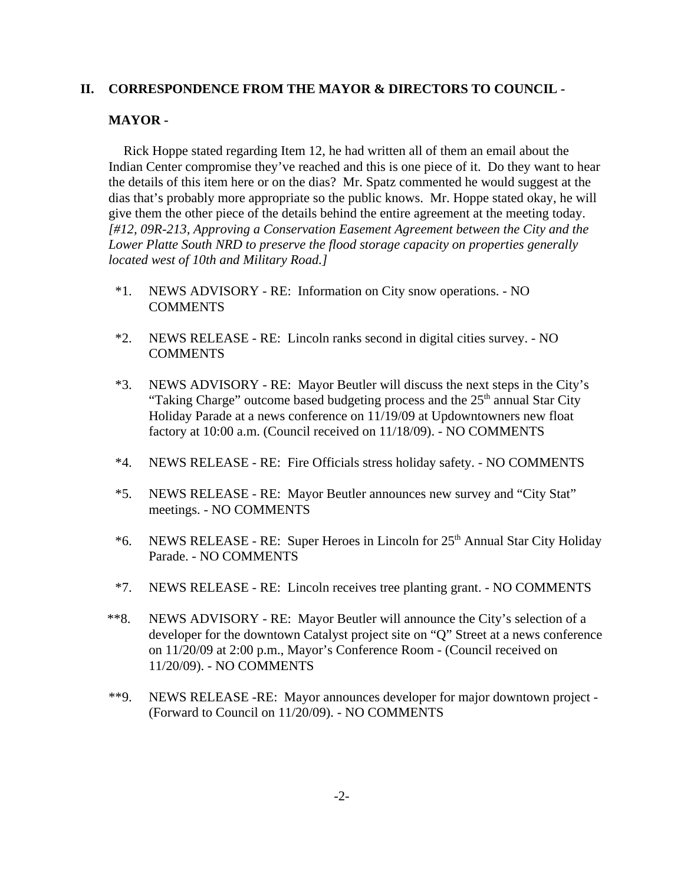### **II. CORRESPONDENCE FROM THE MAYOR & DIRECTORS TO COUNCIL -**

#### **MAYOR -**

Rick Hoppe stated regarding Item 12, he had written all of them an email about the Indian Center compromise they've reached and this is one piece of it. Do they want to hear the details of this item here or on the dias? Mr. Spatz commented he would suggest at the dias that's probably more appropriate so the public knows. Mr. Hoppe stated okay, he will give them the other piece of the details behind the entire agreement at the meeting today. *[#12, 09R-213, Approving a Conservation Easement Agreement between the City and the Lower Platte South NRD to preserve the flood storage capacity on properties generally located west of 10th and Military Road.]*

- \*1. NEWS ADVISORY RE: Information on City snow operations. NO COMMENTS
- \*2. NEWS RELEASE RE: Lincoln ranks second in digital cities survey. NO COMMENTS
- \*3. NEWS ADVISORY RE: Mayor Beutler will discuss the next steps in the City's "Taking Charge" outcome based budgeting process and the  $25<sup>th</sup>$  annual Star City Holiday Parade at a news conference on 11/19/09 at Updowntowners new float factory at 10:00 a.m. (Council received on 11/18/09). - NO COMMENTS
- \*4. NEWS RELEASE RE: Fire Officials stress holiday safety. NO COMMENTS
- \*5. NEWS RELEASE RE: Mayor Beutler announces new survey and "City Stat" meetings. - NO COMMENTS
- \*6. NEWS RELEASE RE: Super Heroes in Lincoln for  $25<sup>th</sup>$  Annual Star City Holiday Parade. - NO COMMENTS
- \*7. NEWS RELEASE RE: Lincoln receives tree planting grant. NO COMMENTS
- \*\*8. NEWS ADVISORY RE: Mayor Beutler will announce the City's selection of a developer for the downtown Catalyst project site on "Q" Street at a news conference on 11/20/09 at 2:00 p.m., Mayor's Conference Room - (Council received on 11/20/09). - NO COMMENTS
- \*\*9. NEWS RELEASE -RE: Mayor announces developer for major downtown project (Forward to Council on 11/20/09). - NO COMMENTS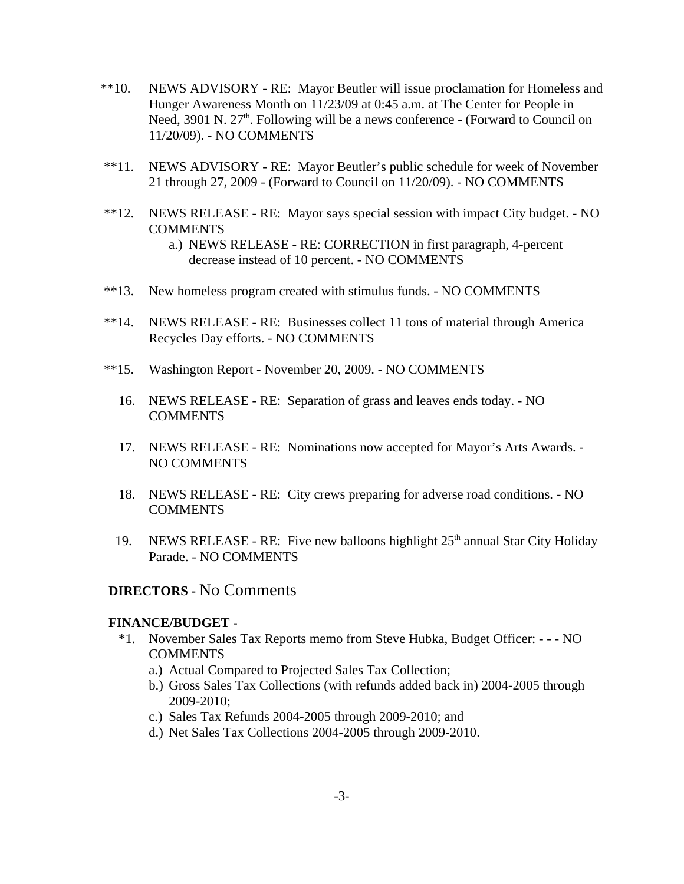- \*\*10. NEWS ADVISORY RE: Mayor Beutler will issue proclamation for Homeless and Hunger Awareness Month on 11/23/09 at 0:45 a.m. at The Center for People in Need,  $3901$  N.  $27<sup>th</sup>$ . Following will be a news conference - (Forward to Council on 11/20/09). - NO COMMENTS
- \*\*11. NEWS ADVISORY RE: Mayor Beutler's public schedule for week of November 21 through 27, 2009 - (Forward to Council on 11/20/09). - NO COMMENTS
- \*\*12. NEWS RELEASE RE: Mayor says special session with impact City budget. NO **COMMENTS** 
	- a.) NEWS RELEASE RE: CORRECTION in first paragraph, 4-percent decrease instead of 10 percent. - NO COMMENTS
- \*\*13. New homeless program created with stimulus funds. NO COMMENTS
- \*\*14. NEWS RELEASE RE: Businesses collect 11 tons of material through America Recycles Day efforts. - NO COMMENTS
- \*\*15. Washington Report November 20, 2009. NO COMMENTS
	- 16. NEWS RELEASE RE: Separation of grass and leaves ends today. NO COMMENTS
	- 17. NEWS RELEASE RE: Nominations now accepted for Mayor's Arts Awards. NO COMMENTS
	- 18. NEWS RELEASE RE: City crews preparing for adverse road conditions. NO COMMENTS
	- 19. NEWS RELEASE RE: Five new balloons highlight  $25<sup>th</sup>$  annual Star City Holiday Parade. - NO COMMENTS

## **DIRECTORS -** No Comments

#### **FINANCE/BUDGET -**

- \*1. November Sales Tax Reports memo from Steve Hubka, Budget Officer: - NO COMMENTS
	- a.) Actual Compared to Projected Sales Tax Collection;
	- b.) Gross Sales Tax Collections (with refunds added back in) 2004-2005 through 2009-2010;
	- c.) Sales Tax Refunds 2004-2005 through 2009-2010; and
	- d.) Net Sales Tax Collections 2004-2005 through 2009-2010.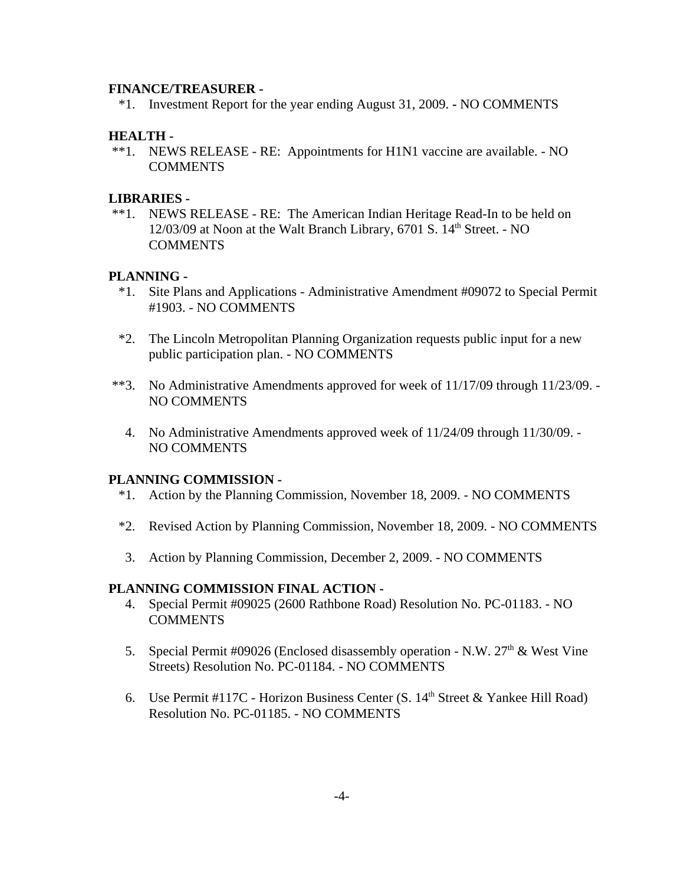#### **FINANCE/TREASURER -**

\*1. Investment Report for the year ending August 31, 2009. **-** NO COMMENTS

## **HEALTH -**

 \*\*1. NEWS RELEASE - RE: Appointments for H1N1 vaccine are available. - NO COMMENTS

### **LIBRARIES -**

 \*\*1. NEWS RELEASE - RE: The American Indian Heritage Read-In to be held on  $12/03/09$  at Noon at the Walt Branch Library, 6701 S.  $14<sup>th</sup>$  Street. - NO **COMMENTS** 

### **PLANNING -**

- \*1. Site Plans and Applications Administrative Amendment #09072 to Special Permit #1903. - NO COMMENTS
- \*2. The Lincoln Metropolitan Planning Organization requests public input for a new public participation plan. - NO COMMENTS
- \*\*3. No Administrative Amendments approved for week of 11/17/09 through 11/23/09. NO COMMENTS
	- 4. No Administrative Amendments approved week of 11/24/09 through 11/30/09. NO COMMENTS

### **PLANNING COMMISSION -**

- \*1. Action by the Planning Commission, November 18, 2009. NO COMMENTS
- \*2. Revised Action by Planning Commission, November 18, 2009. NO COMMENTS
- 3. Action by Planning Commission, December 2, 2009. NO COMMENTS

### **PLANNING COMMISSION FINAL ACTION -**

- 4. Special Permit #09025 (2600 Rathbone Road) Resolution No. PC-01183. NO **COMMENTS**
- 5. Special Permit #09026 (Enclosed disassembly operation N.W.  $27<sup>th</sup>$  & West Vine Streets) Resolution No. PC-01184. - NO COMMENTS
- 6. Use Permit #117C Horizon Business Center (S.  $14<sup>th</sup>$  Street & Yankee Hill Road) Resolution No. PC-01185. - NO COMMENTS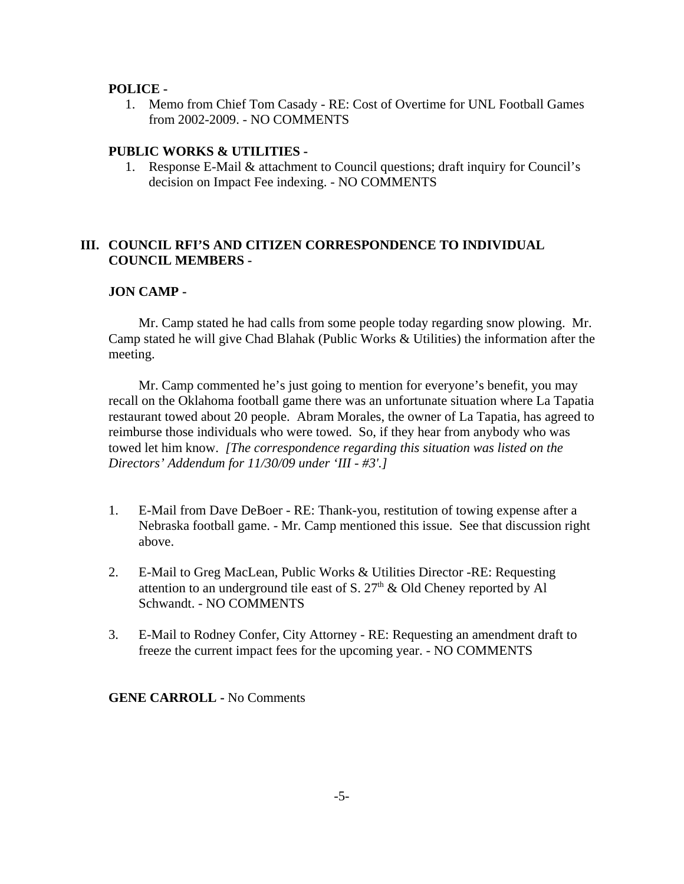#### **POLICE -**

 1. Memo from Chief Tom Casady - RE: Cost of Overtime for UNL Football Games from 2002-2009. - NO COMMENTS

### **PUBLIC WORKS & UTILITIES -**

 1. Response E-Mail & attachment to Council questions; draft inquiry for Council's decision on Impact Fee indexing. - NO COMMENTS

## **III. COUNCIL RFI'S AND CITIZEN CORRESPONDENCE TO INDIVIDUAL COUNCIL MEMBERS -**

## **JON CAMP -**

Mr. Camp stated he had calls from some people today regarding snow plowing. Mr. Camp stated he will give Chad Blahak (Public Works & Utilities) the information after the meeting.

Mr. Camp commented he's just going to mention for everyone's benefit, you may recall on the Oklahoma football game there was an unfortunate situation where La Tapatia restaurant towed about 20 people. Abram Morales, the owner of La Tapatia, has agreed to reimburse those individuals who were towed. So, if they hear from anybody who was towed let him know. *[The correspondence regarding this situation was listed on the Directors' Addendum for 11/30/09 under 'III - #3'.]* 

- 1. E-Mail from Dave DeBoer RE: Thank-you, restitution of towing expense after a Nebraska football game. - Mr. Camp mentioned this issue. See that discussion right above.
- 2. E-Mail to Greg MacLean, Public Works & Utilities Director -RE: Requesting attention to an underground tile east of S.  $27<sup>th</sup>$  & Old Cheney reported by Al Schwandt. - NO COMMENTS
- 3. E-Mail to Rodney Confer, City Attorney RE: Requesting an amendment draft to freeze the current impact fees for the upcoming year. - NO COMMENTS

**GENE CARROLL -** No Comments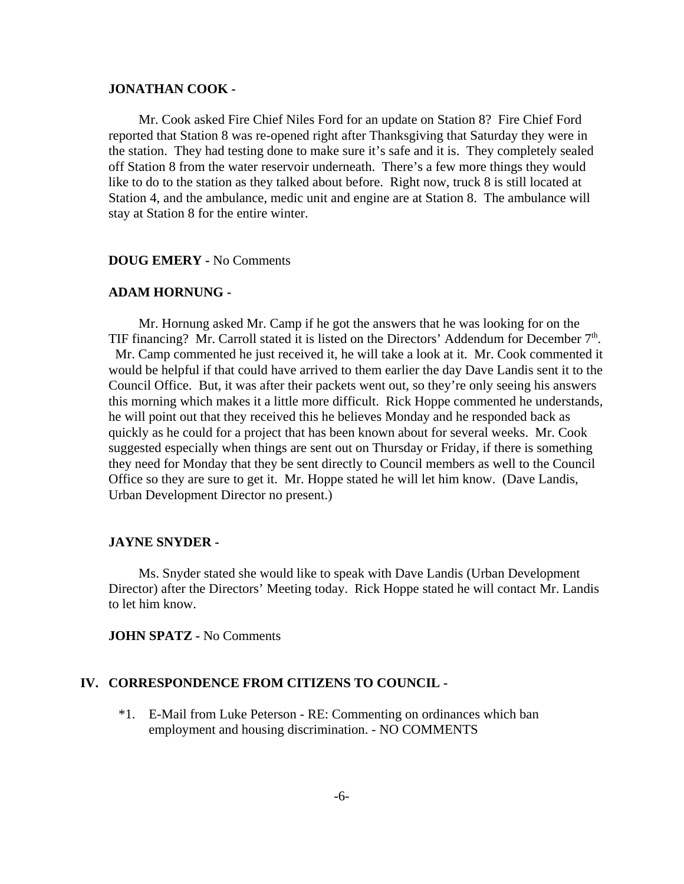#### **JONATHAN COOK -**

Mr. Cook asked Fire Chief Niles Ford for an update on Station 8? Fire Chief Ford reported that Station 8 was re-opened right after Thanksgiving that Saturday they were in the station. They had testing done to make sure it's safe and it is. They completely sealed off Station 8 from the water reservoir underneath. There's a few more things they would like to do to the station as they talked about before. Right now, truck 8 is still located at Station 4, and the ambulance, medic unit and engine are at Station 8. The ambulance will stay at Station 8 for the entire winter.

#### **DOUG EMERY -** No Comments

#### **ADAM HORNUNG -**

Mr. Hornung asked Mr. Camp if he got the answers that he was looking for on the TIF financing? Mr. Carroll stated it is listed on the Directors' Addendum for December 7<sup>th</sup>. Mr. Camp commented he just received it, he will take a look at it. Mr. Cook commented it would be helpful if that could have arrived to them earlier the day Dave Landis sent it to the Council Office. But, it was after their packets went out, so they're only seeing his answers this morning which makes it a little more difficult. Rick Hoppe commented he understands, he will point out that they received this he believes Monday and he responded back as quickly as he could for a project that has been known about for several weeks. Mr. Cook suggested especially when things are sent out on Thursday or Friday, if there is something they need for Monday that they be sent directly to Council members as well to the Council Office so they are sure to get it. Mr. Hoppe stated he will let him know. (Dave Landis, Urban Development Director no present.)

#### **JAYNE SNYDER -**

Ms. Snyder stated she would like to speak with Dave Landis (Urban Development Director) after the Directors' Meeting today. Rick Hoppe stated he will contact Mr. Landis to let him know.

**JOHN SPATZ -** No Comments

### **IV. CORRESPONDENCE FROM CITIZENS TO COUNCIL -**

 \*1. E-Mail from Luke Peterson - RE: Commenting on ordinances which ban employment and housing discrimination. - NO COMMENTS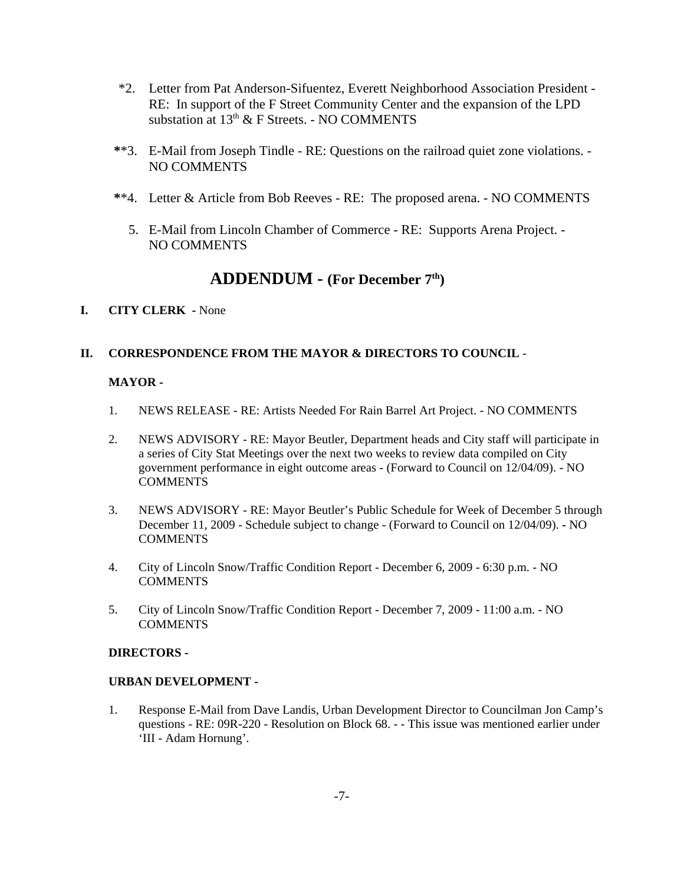- \*2. Letter from Pat Anderson-Sifuentez, Everett Neighborhood Association President RE: In support of the F Street Community Center and the expansion of the LPD substation at  $13<sup>th</sup>$  & F Streets. - NO COMMENTS
- **\***\*3. E-Mail from Joseph Tindle RE: Questions on the railroad quiet zone violations. NO COMMENTS
- **\***\*4. Letter & Article from Bob Reeves RE: The proposed arena. NO COMMENTS
	- 5. E-Mail from Lincoln Chamber of Commerce RE: Supports Arena Project. NO COMMENTS

# **ADDENDUM - (For December 7th)**

### **I. CITY CLERK -** None

## **II. CORRESPONDENCE FROM THE MAYOR & DIRECTORS TO COUNCIL** -

#### **MAYOR -**

- 1. NEWS RELEASE RE: Artists Needed For Rain Barrel Art Project. NO COMMENTS
- 2. NEWS ADVISORY RE: Mayor Beutler, Department heads and City staff will participate in a series of City Stat Meetings over the next two weeks to review data compiled on City government performance in eight outcome areas - (Forward to Council on 12/04/09). - NO **COMMENTS**
- 3. NEWS ADVISORY RE: Mayor Beutler's Public Schedule for Week of December 5 through December 11, 2009 - Schedule subject to change - (Forward to Council on 12/04/09). **-** NO COMMENTS
- 4. City of Lincoln Snow/Traffic Condition Report December 6, 2009 6:30 p.m. NO COMMENTS
- 5. City of Lincoln Snow/Traffic Condition Report December 7, 2009 11:00 a.m. NO **COMMENTS**

### **DIRECTORS -**

#### **URBAN DEVELOPMENT -**

1. Response E-Mail from Dave Landis, Urban Development Director to Councilman Jon Camp's questions - RE: 09R-220 - Resolution on Block 68. - - This issue was mentioned earlier under 'III - Adam Hornung'.